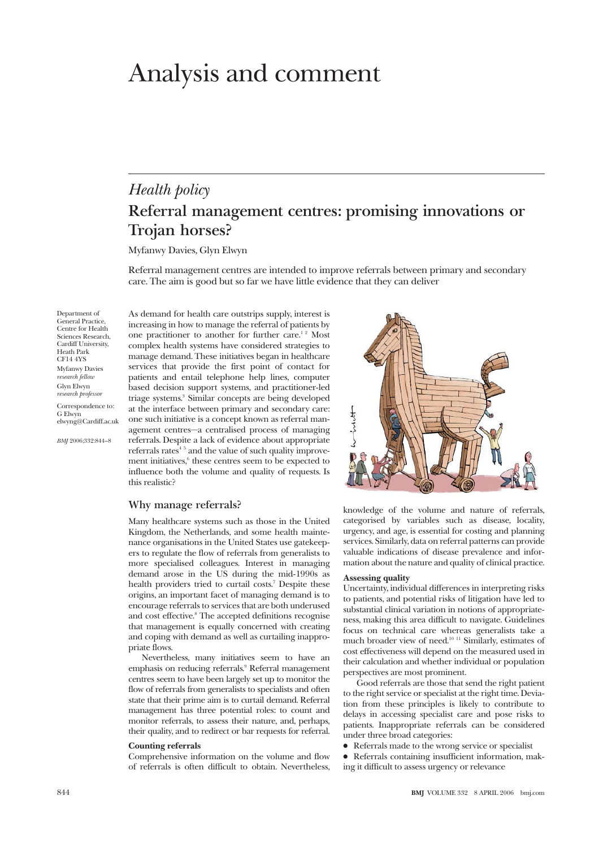# Analysis and comment

# *Health policy* **Referral management centres: promising innovations or Trojan horses?**

Myfanwy Davies, Glyn Elwyn

Referral management centres are intended to improve referrals between primary and secondary care. The aim is good but so far we have little evidence that they can deliver

Department of General Practice, Centre for Health Sciences Research, Cardiff University, Heath Park CF14 4YS Myfanwy Davies *research fellow* Glyn Elwyn *research professor*

Correspondence to: G Elwyn elwyng@Cardiff.ac.uk

*BMJ* 2006;332:844–8

As demand for health care outstrips supply, interest is increasing in how to manage the referral of patients by one practitioner to another for further care.<sup>12</sup> Most complex health systems have considered strategies to manage demand. These initiatives began in healthcare services that provide the first point of contact for patients and entail telephone help lines, computer based decision support systems, and practitioner-led triage systems.3 Similar concepts are being developed at the interface between primary and secondary care: one such initiative is a concept known as referral management centres—a centralised process of managing referrals. Despite a lack of evidence about appropriate referrals rates<sup>45</sup> and the value of such quality improvement initiatives,<sup>6</sup> these centres seem to be expected to influence both the volume and quality of requests. Is this realistic?

#### **Why manage referrals?**

Many healthcare systems such as those in the United Kingdom, the Netherlands, and some health maintenance organisations in the United States use gatekeepers to regulate the flow of referrals from generalists to more specialised colleagues. Interest in managing demand arose in the US during the mid-1990s as health providers tried to curtail costs.<sup>7</sup> Despite these origins, an important facet of managing demand is to encourage referrals to services that are both underused and cost effective.<sup>8</sup> The accepted definitions recognise that management is equally concerned with creating and coping with demand as well as curtailing inappropriate flows.

Nevertheless, many initiatives seem to have an emphasis on reducing referrals.9 Referral management centres seem to have been largely set up to monitor the flow of referrals from generalists to specialists and often state that their prime aim is to curtail demand. Referral management has three potential roles: to count and monitor referrals, to assess their nature, and, perhaps, their quality, and to redirect or bar requests for referral.

#### **Counting referrals**

Comprehensive information on the volume and flow of referrals is often difficult to obtain. Nevertheless,



knowledge of the volume and nature of referrals, categorised by variables such as disease, locality, urgency, and age, is essential for costing and planning services. Similarly, data on referral patterns can provide valuable indications of disease prevalence and information about the nature and quality of clinical practice.

#### **Assessing quality**

Uncertainty, individual differences in interpreting risks to patients, and potential risks of litigation have led to substantial clinical variation in notions of appropriateness, making this area difficult to navigate. Guidelines focus on technical care whereas generalists take a much broader view of need.10 11 Similarly, estimates of cost effectiveness will depend on the measured used in their calculation and whether individual or population perspectives are most prominent.

Good referrals are those that send the right patient to the right service or specialist at the right time. Deviation from these principles is likely to contribute to delays in accessing specialist care and pose risks to patients. Inappropriate referrals can be considered under three broad categories:

• Referrals made to the wrong service or specialist

x Referrals containing insufficient information, making it difficult to assess urgency or relevance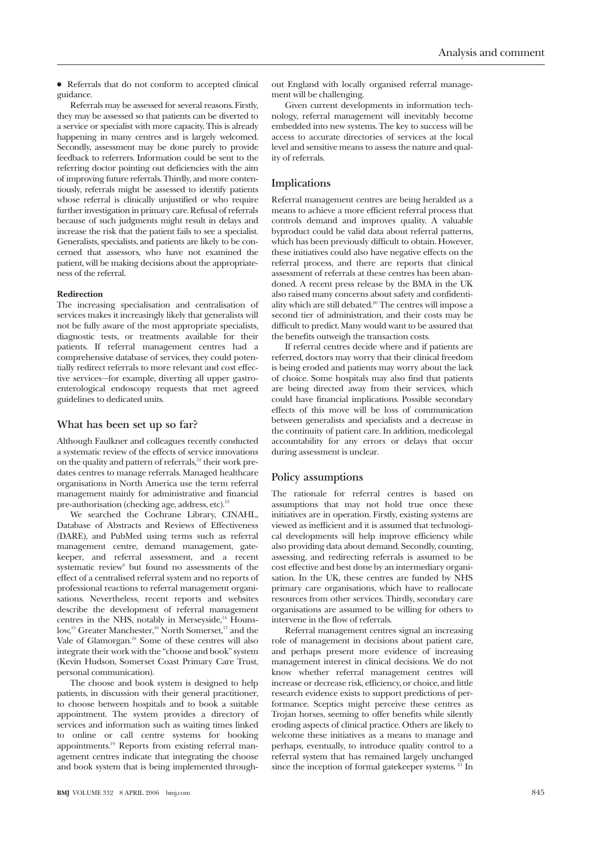$\bullet$  Referrals that do not conform to accepted clinical guidance.

Referrals may be assessed for several reasons. Firstly, they may be assessed so that patients can be diverted to a service or specialist with more capacity. This is already happening in many centres and is largely welcomed. Secondly, assessment may be done purely to provide feedback to referrers. Information could be sent to the referring doctor pointing out deficiencies with the aim of improving future referrals. Thirdly, and more contentiously, referrals might be assessed to identify patients whose referral is clinically unjustified or who require further investigation in primary care. Refusal of referrals because of such judgments might result in delays and increase the risk that the patient fails to see a specialist. Generalists, specialists, and patients are likely to be concerned that assessors, who have not examined the patient, will be making decisions about the appropriateness of the referral.

#### **Redirection**

The increasing specialisation and centralisation of services makes it increasingly likely that generalists will not be fully aware of the most appropriate specialists, diagnostic tests, or treatments available for their patients. If referral management centres had a comprehensive database of services, they could potentially redirect referrals to more relevant and cost effective services—for example, diverting all upper gastroenterological endoscopy requests that met agreed guidelines to dedicated units.

#### **What has been set up so far?**

Although Faulkner and colleagues recently conducted a systematic review of the effects of service innovations on the quality and pattern of referrals,<sup>12</sup> their work predates centres to manage referrals. Managed healthcare organisations in North America use the term referral management mainly for administrative and financial pre-authorisation (checking age, address, etc).<sup>13</sup>

We searched the Cochrane Library, CINAHL, Database of Abstracts and Reviews of Effectiveness (DARE), and PubMed using terms such as referral management centre, demand management, gatekeeper, and referral assessment, and a recent systematic review<sup>6</sup> but found no assessments of the effect of a centralised referral system and no reports of professional reactions to referral management organisations. Nevertheless, recent reports and websites describe the development of referral management centres in the NHS, notably in Merseyside, $14$  Hounslow,<sup>15</sup> Greater Manchester,<sup>16</sup> North Somerset,<sup>17</sup> and the Vale of Glamorgan.18 Some of these centres will also integrate their work with the "choose and book" system (Kevin Hudson, Somerset Coast Primary Care Trust, personal communication).

The choose and book system is designed to help patients, in discussion with their general practitioner, to choose between hospitals and to book a suitable appointment. The system provides a directory of services and information such as waiting times linked to online or call centre systems for booking appointments.19 Reports from existing referral management centres indicate that integrating the choose and book system that is being implemented throughout England with locally organised referral management will be challenging.

Given current developments in information technology, referral management will inevitably become embedded into new systems. The key to success will be access to accurate directories of services at the local level and sensitive means to assess the nature and quality of referrals.

## **Implications**

Referral management centres are being heralded as a means to achieve a more efficient referral process that controls demand and improves quality. A valuable byproduct could be valid data about referral patterns, which has been previously difficult to obtain. However, these initiatives could also have negative effects on the referral process, and there are reports that clinical assessment of referrals at these centres has been abandoned. A recent press release by the BMA in the UK also raised many concerns about safety and confidentiality which are still debated.20 The centres will impose a second tier of administration, and their costs may be difficult to predict. Many would want to be assured that the benefits outweigh the transaction costs.

If referral centres decide where and if patients are referred, doctors may worry that their clinical freedom is being eroded and patients may worry about the lack of choice. Some hospitals may also find that patients are being directed away from their services, which could have financial implications. Possible secondary effects of this move will be loss of communication between generalists and specialists and a decrease in the continuity of patient care. In addition, medicolegal accountability for any errors or delays that occur during assessment is unclear.

#### **Policy assumptions**

The rationale for referral centres is based on assumptions that may not hold true once these initiatives are in operation. Firstly, existing systems are viewed as inefficient and it is assumed that technological developments will help improve efficiency while also providing data about demand. Secondly, counting, assessing, and redirecting referrals is assumed to be cost effective and best done by an intermediary organisation. In the UK, these centres are funded by NHS primary care organisations, which have to reallocate resources from other services. Thirdly, secondary care organisations are assumed to be willing for others to intervene in the flow of referrals.

Referral management centres signal an increasing role of management in decisions about patient care, and perhaps present more evidence of increasing management interest in clinical decisions. We do not know whether referral management centres will increase or decrease risk, efficiency, or choice, and little research evidence exists to support predictions of performance. Sceptics might perceive these centres as Trojan horses, seeming to offer benefits while silently eroding aspects of clinical practice. Others are likely to welcome these initiatives as a means to manage and perhaps, eventually, to introduce quality control to a referral system that has remained largely unchanged since the inception of formal gatekeeper systems.  $21$  In